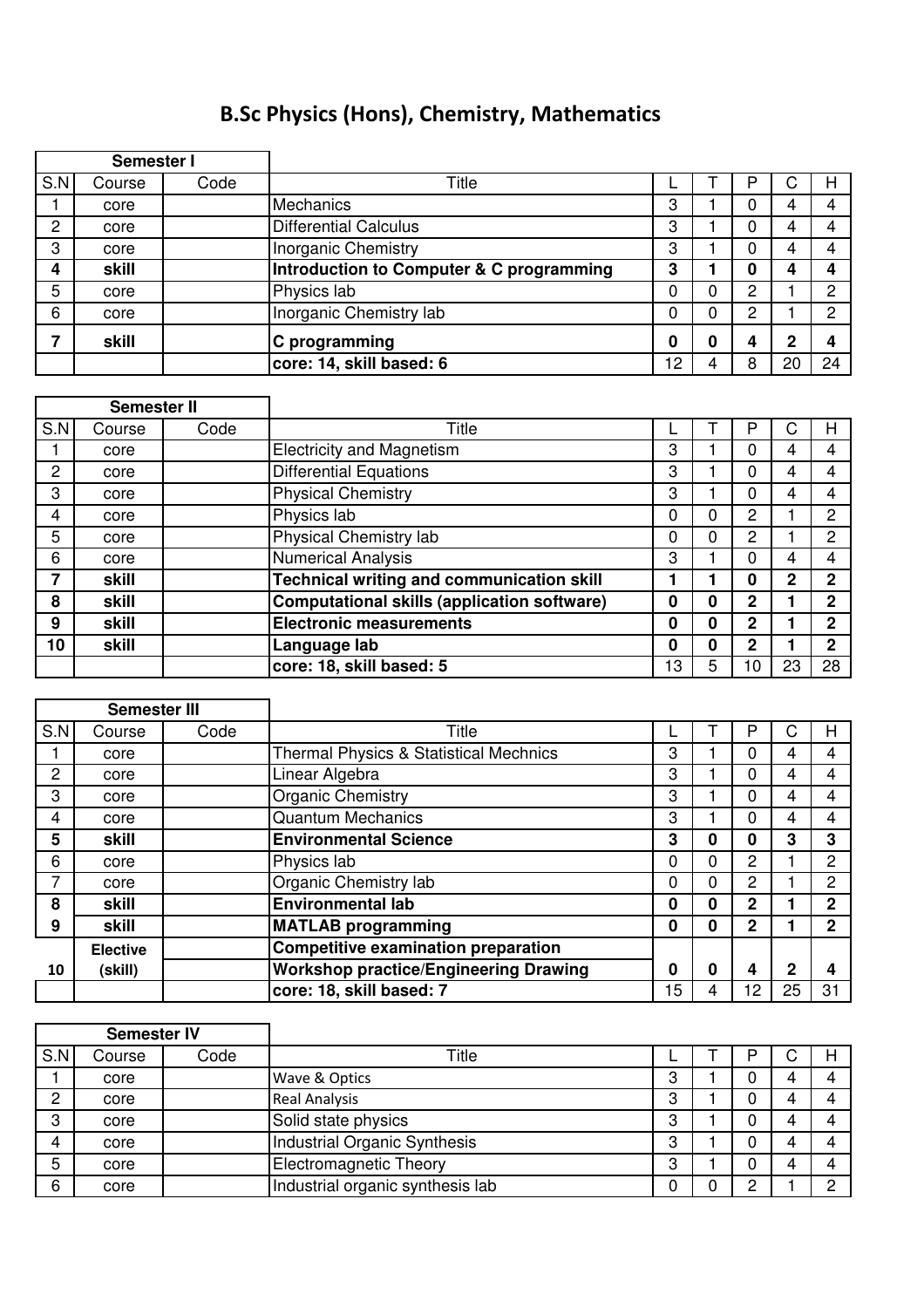## B.Sc Physics (Hons), Chemistry, Mathematics

|              | Semester I |      |                                          |    |   |   |    |    |
|--------------|------------|------|------------------------------------------|----|---|---|----|----|
| S.N          | Course     | Code | Title                                    |    |   | P | C  | н  |
|              | core       |      | <b>Mechanics</b>                         | 3  |   | 0 |    |    |
| $\mathbf{2}$ | core       |      | Differential Calculus                    | 3  |   | 0 |    |    |
| 3            | core       |      | Inorganic Chemistry                      | 3  |   | 0 |    |    |
| 4            | skill      |      | Introduction to Computer & C programming | 3  |   | O |    |    |
| 5            | core       |      | Physics lab                              |    | 0 | 2 |    | ◠  |
| 6            | core       |      | Inorganic Chemistry lab                  | 0  | 0 | 2 |    | ◠  |
|              | skill      |      | C programming                            | 0  | 0 | 4 | ŋ  |    |
|              |            |      | core: 14, skill based: 6                 | 12 |   | 8 | 20 | 24 |

|                | <b>Semester II</b> |      |                                                  |    |   |                |    |    |
|----------------|--------------------|------|--------------------------------------------------|----|---|----------------|----|----|
| S.N            | Course             | Code | Title                                            |    |   | P              |    | н  |
|                | core               |      | <b>Electricity and Magnetism</b>                 | 3  |   | 0              | 4  | 4  |
| $\overline{2}$ | core               |      | <b>Differential Equations</b>                    | 3  |   | 0              | 4  | 4  |
| 3              | core               |      | <b>Physical Chemistry</b>                        | 3  |   | 0              | 4  |    |
| 4              | core               |      | Physics lab                                      | 0  | 0 | 2              |    | 2  |
| 5              | core               |      | Physical Chemistry lab                           | 0  | 0 | 2              |    | 2  |
| 6              | core               |      | <b>Numerical Analysis</b>                        | 3  |   | 0              | 4  | 4  |
| 7              | skill              |      | <b>Technical writing and communication skill</b> |    |   | 0              | 2  | 2  |
| 8              | skill              |      | Computational skills (application software)      | 0  | 0 | $\mathbf{2}$   |    | 2  |
| 9              | skill              |      | <b>Electronic measurements</b>                   | 0  | 0 | $\overline{2}$ |    | 2  |
| 10             | skill              |      | Language lab                                     | 0  | 0 | $\mathbf{2}$   |    | າ  |
|                |                    |      | core: 18, skill based: 5                         | 13 | 5 | 10             | 23 | 28 |

| <b>Semester III</b>   |                 |      |                                                   |    |   |              |    |                |
|-----------------------|-----------------|------|---------------------------------------------------|----|---|--------------|----|----------------|
| S.N                   | Course          | Code | Title                                             |    |   | P            | C  | н              |
|                       | core            |      | <b>Thermal Physics &amp; Statistical Mechnics</b> | 3  |   | 0            | 4  | 4              |
| $\mathbf{2}^{\prime}$ | core            |      | Linear Algebra                                    | 3  |   | $\Omega$     | 4  | 4              |
| 3                     | core            |      | <b>Organic Chemistry</b>                          | 3  |   | $\Omega$     | 4  |                |
| 4                     | core            |      | <b>Quantum Mechanics</b>                          | 3  |   | 0            | 4  | 4              |
| 5                     | skill           |      | <b>Environmental Science</b>                      | 3  | 0 | $\bf{0}$     | 3  | 3              |
| 6                     | core            |      | Physics lab                                       | 0  | 0 | $\mathbf{2}$ |    | $\overline{2}$ |
|                       | core            |      | Organic Chemistry lab                             | 0  | 0 | 2            |    | 2              |
| 8                     | skill           |      | <b>Environmental lab</b>                          | 0  | 0 | $\mathbf{2}$ |    | $\mathbf{2}$   |
| 9                     | skill           |      | <b>MATLAB programming</b>                         | 0  | 0 | $\mathbf{2}$ |    | $\mathbf{2}$   |
|                       | <b>Elective</b> |      | Competitive examination preparation               |    |   |              |    |                |
| 10                    | (skill)         |      | <b>Workshop practice/Engineering Drawing</b>      | 0  | 0 | 4            | 2  |                |
|                       |                 |      | core: 18, skill based: 7                          | 15 | 4 | 12           | 25 | 31             |

| <b>Semester IV</b> |        |      |                                  |   |  |   |  |
|--------------------|--------|------|----------------------------------|---|--|---|--|
| S.N                | Course | Code | Title                            |   |  | ◡ |  |
|                    | core   |      | Wave & Optics                    | 3 |  |   |  |
| 2                  | core   |      | <b>Real Analysis</b>             | 3 |  |   |  |
| 3                  | core   |      | Solid state physics              | 3 |  |   |  |
| 4                  | core   |      | Industrial Organic Synthesis     | 3 |  |   |  |
| 5                  | core   |      | <b>Electromagnetic Theory</b>    | 3 |  |   |  |
| 6                  | core   |      | Industrial organic synthesis lab | U |  |   |  |